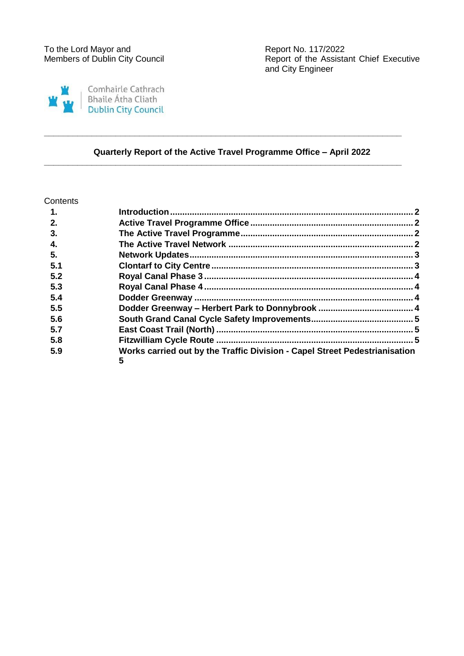

Report of the Assistant Chief Executive and City Engineer

# **Quarterly Report of the Active Travel Programme Office – April 2022**

**\_\_\_\_\_\_\_\_\_\_\_\_\_\_\_\_\_\_\_\_\_\_\_\_\_\_\_\_\_\_\_\_\_\_\_\_\_\_\_\_\_\_\_\_\_\_\_\_\_\_\_\_\_\_\_\_\_\_\_\_\_\_\_\_\_\_\_\_\_\_\_\_\_\_\_**

**\_\_\_\_\_\_\_\_\_\_\_\_\_\_\_\_\_\_\_\_\_\_\_\_\_\_\_\_\_\_\_\_\_\_\_\_\_\_\_\_\_\_\_\_\_\_\_\_\_\_\_\_\_\_\_\_\_\_\_\_\_\_\_\_\_\_\_\_\_\_\_\_\_\_\_**

### **Contents**

| $\mathbf{1}$ |                                                                                 |  |
|--------------|---------------------------------------------------------------------------------|--|
| 2.           |                                                                                 |  |
| 3.           |                                                                                 |  |
| 4.           |                                                                                 |  |
| 5.           |                                                                                 |  |
| 5.1          |                                                                                 |  |
| 5.2          |                                                                                 |  |
| 5.3          |                                                                                 |  |
| 5.4          |                                                                                 |  |
| 5.5          |                                                                                 |  |
| 5.6          |                                                                                 |  |
| 5.7          |                                                                                 |  |
| 5.8          |                                                                                 |  |
| 5.9          | Works carried out by the Traffic Division - Capel Street Pedestrianisation<br>5 |  |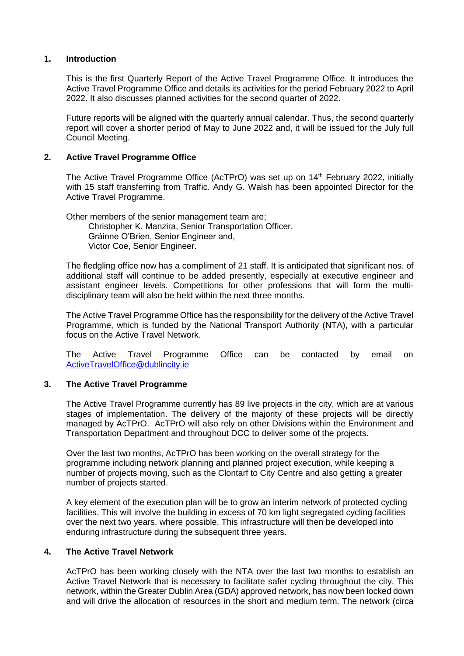### <span id="page-1-0"></span>**1. Introduction**

This is the first Quarterly Report of the Active Travel Programme Office. It introduces the Active Travel Programme Office and details its activities for the period February 2022 to April 2022. It also discusses planned activities for the second quarter of 2022.

Future reports will be aligned with the quarterly annual calendar. Thus, the second quarterly report will cover a shorter period of May to June 2022 and, it will be issued for the July full Council Meeting.

### <span id="page-1-1"></span>**2. Active Travel Programme Office**

The Active Travel Programme Office (AcTPrO) was set up on 14<sup>th</sup> February 2022, initially with 15 staff transferring from Traffic. Andy G. Walsh has been appointed Director for the Active Travel Programme.

Other members of the senior management team are; Christopher K. Manzira, Senior Transportation Officer, Gráinne O'Brien, Senior Engineer and, Victor Coe, Senior Engineer.

The fledgling office now has a compliment of 21 staff. It is anticipated that significant nos. of additional staff will continue to be added presently, especially at executive engineer and assistant engineer levels. Competitions for other professions that will form the multidisciplinary team will also be held within the next three months.

The Active Travel Programme Office has the responsibility for the delivery of the Active Travel Programme, which is funded by the National Transport Authority (NTA), with a particular focus on the Active Travel Network.

The Active Travel Programme Office can be contacted by email on [ActiveTravelOffice@dublincity.ie](mailto:ActiveTravelOffice@dublincity.ie)

#### <span id="page-1-2"></span>**3. The Active Travel Programme**

The Active Travel Programme currently has 89 live projects in the city, which are at various stages of implementation. The delivery of the majority of these projects will be directly managed by AcTPrO. AcTPrO will also rely on other Divisions within the Environment and Transportation Department and throughout DCC to deliver some of the projects.

Over the last two months, AcTPrO has been working on the overall strategy for the programme including network planning and planned project execution, while keeping a number of projects moving, such as the Clontarf to City Centre and also getting a greater number of projects started.

A key element of the execution plan will be to grow an interim network of protected cycling facilities. This will involve the building in excess of 70 km light segregated cycling facilities over the next two years, where possible. This infrastructure will then be developed into enduring infrastructure during the subsequent three years.

#### <span id="page-1-3"></span>**4. The Active Travel Network**

AcTPrO has been working closely with the NTA over the last two months to establish an Active Travel Network that is necessary to facilitate safer cycling throughout the city. This network, within the Greater Dublin Area (GDA) approved network, has now been locked down and will drive the allocation of resources in the short and medium term. The network (circa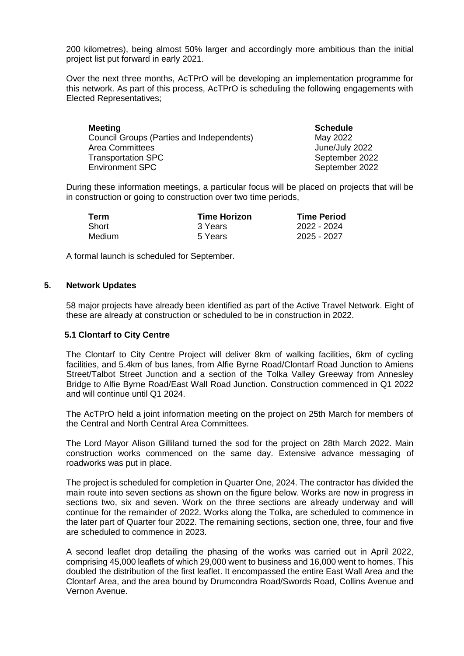200 kilometres), being almost 50% larger and accordingly more ambitious than the initial project list put forward in early 2021.

Over the next three months, AcTPrO will be developing an implementation programme for this network. As part of this process, AcTPrO is scheduling the following engagements with Elected Representatives;

| <b>Meeting</b>                            | <b>Schedule</b> |
|-------------------------------------------|-----------------|
| Council Groups (Parties and Independents) | May 2022        |
| <b>Area Committees</b>                    | June/July 2022  |
| <b>Transportation SPC</b>                 | September 2022  |
| <b>Environment SPC</b>                    | September 2022  |

During these information meetings, a particular focus will be placed on projects that will be in construction or going to construction over two time periods,

| Term   | <b>Time Horizon</b> | <b>Time Period</b> |
|--------|---------------------|--------------------|
| Short  | 3 Years             | 2022 - 2024        |
| Medium | 5 Years             | 2025 - 2027        |

A formal launch is scheduled for September.

### <span id="page-2-0"></span>**5. Network Updates**

58 major projects have already been identified as part of the Active Travel Network. Eight of these are already at construction or scheduled to be in construction in 2022.

#### <span id="page-2-1"></span>**5.1 Clontarf to City Centre**

The Clontarf to City Centre Project will deliver 8km of walking facilities, 6km of cycling facilities, and 5.4km of bus lanes, from Alfie Byrne Road/Clontarf Road Junction to Amiens Street/Talbot Street Junction and a section of the Tolka Valley Greeway from Annesley Bridge to Alfie Byrne Road/East Wall Road Junction. Construction commenced in Q1 2022 and will continue until Q1 2024.

The AcTPrO held a joint information meeting on the project on 25th March for members of the Central and North Central Area Committees.

The Lord Mayor Alison Gilliland turned the sod for the project on 28th March 2022. Main construction works commenced on the same day. Extensive advance messaging of roadworks was put in place.

The project is scheduled for completion in Quarter One, 2024. The contractor has divided the main route into seven sections as shown on the figure below. Works are now in progress in sections two, six and seven. Work on the three sections are already underway and will continue for the remainder of 2022. Works along the Tolka, are scheduled to commence in the later part of Quarter four 2022. The remaining sections, section one, three, four and five are scheduled to commence in 2023.

A second leaflet drop detailing the phasing of the works was carried out in April 2022, comprising 45,000 leaflets of which 29,000 went to business and 16,000 went to homes. This doubled the distribution of the first leaflet. It encompassed the entire East Wall Area and the Clontarf Area, and the area bound by Drumcondra Road/Swords Road, Collins Avenue and Vernon Avenue.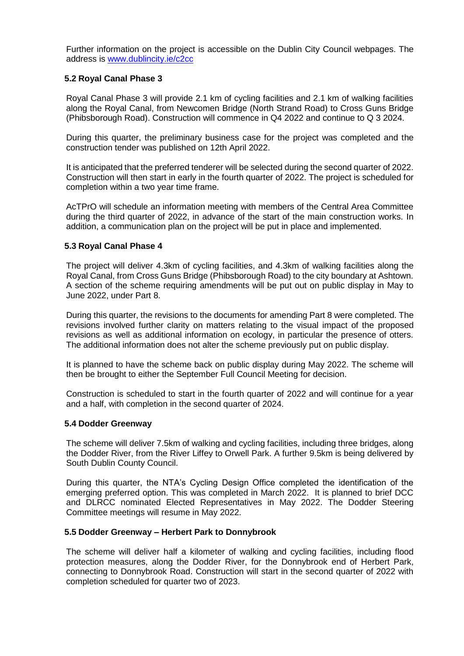Further information on the project is accessible on the Dublin City Council webpages. The address is [www.dublincity.ie/c2cc](http://www.dublincity.ie/c2cc)

### <span id="page-3-0"></span>**5.2 Royal Canal Phase 3**

Royal Canal Phase 3 will provide 2.1 km of cycling facilities and 2.1 km of walking facilities along the Royal Canal, from Newcomen Bridge (North Strand Road) to Cross Guns Bridge (Phibsborough Road). Construction will commence in Q4 2022 and continue to Q 3 2024.

During this quarter, the preliminary business case for the project was completed and the construction tender was published on 12th April 2022.

It is anticipated that the preferred tenderer will be selected during the second quarter of 2022. Construction will then start in early in the fourth quarter of 2022. The project is scheduled for completion within a two year time frame.

AcTPrO will schedule an information meeting with members of the Central Area Committee during the third quarter of 2022, in advance of the start of the main construction works. In addition, a communication plan on the project will be put in place and implemented.

### <span id="page-3-1"></span>**5.3 Royal Canal Phase 4**

The project will deliver 4.3km of cycling facilities, and 4.3km of walking facilities along the Royal Canal, from Cross Guns Bridge (Phibsborough Road) to the city boundary at Ashtown. A section of the scheme requiring amendments will be put out on public display in May to June 2022, under Part 8.

During this quarter, the revisions to the documents for amending Part 8 were completed. The revisions involved further clarity on matters relating to the visual impact of the proposed revisions as well as additional information on ecology, in particular the presence of otters. The additional information does not alter the scheme previously put on public display.

It is planned to have the scheme back on public display during May 2022. The scheme will then be brought to either the September Full Council Meeting for decision.

Construction is scheduled to start in the fourth quarter of 2022 and will continue for a year and a half, with completion in the second quarter of 2024.

#### <span id="page-3-2"></span>**5.4 Dodder Greenway**

The scheme will deliver 7.5km of walking and cycling facilities, including three bridges, along the Dodder River, from the River Liffey to Orwell Park. A further 9.5km is being delivered by South Dublin County Council.

During this quarter, the NTA's Cycling Design Office completed the identification of the emerging preferred option. This was completed in March 2022. It is planned to brief DCC and DLRCC nominated Elected Representatives in May 2022. The Dodder Steering Committee meetings will resume in May 2022.

### <span id="page-3-3"></span>**5.5 Dodder Greenway – Herbert Park to Donnybrook**

The scheme will deliver half a kilometer of walking and cycling facilities, including flood protection measures, along the Dodder River, for the Donnybrook end of Herbert Park, connecting to Donnybrook Road. Construction will start in the second quarter of 2022 with completion scheduled for quarter two of 2023.